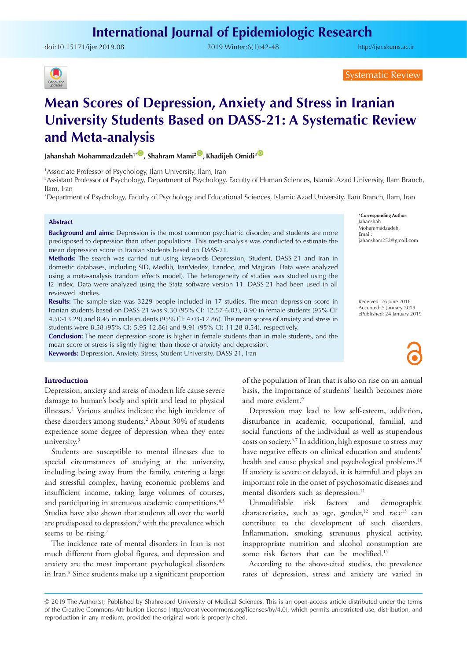## **International Journal of Epidemiologic Research**

doi:[10.15171/ijer.2019.08](https://doi.org/10.15171/ijer.2019.08) 2019 Winter;6(1):42-48

<http://ijer.skums.ac.ir>



Systematic Review

# **Mean Scores of Depression, Anxiety and Stress in Iranian University Students Based on DASS-21: A Systematic Review and Meta-analysis**

Jahanshah Mohammadzadeh<sup>1\*</sub><sup>(1)</sup>, Shahram Mami<sup>2</sup><sup>(1)</sup>, Khadijeh Omidi<sup>3</sup><sup>(1)</sup></sup>

1 Associate Professor of Psychology, Ilam University, Ilam, Iran

2 Assistant Professor of Psychology, Department of Psychology, Faculty of Human Sciences, Islamic Azad University, Ilam Branch, Ilam, Iran

3 Department of Psychology, Faculty of Psychology and Educational Sciences, Islamic Azad University, Ilam Branch, Ilam, Iran

#### **Abstract**

**Background and aims:** Depression is the most common psychiatric disorder, and students are more predisposed to depression than other populations. This meta-analysis was conducted to estimate the mean depression score in Iranian students based on DASS-21.

**Methods:** The search was carried out using keywords Depression, Student, DASS-21 and Iran in domestic databases, including SID, Medlib, IranMedex, Irandoc, and Magiran. Data were analyzed using a meta-analysis (random effects model). The heterogeneity of studies was studied using the I2 index. Data were analyzed using the Stata software version 11. DASS-21 had been used in all reviewed studies.

**Results:** The sample size was 3229 people included in 17 studies. The mean depression score in Iranian students based on DASS-21 was 9.30 (95% CI: 12.57-6.03), 8.90 in female students (95% CI: 4.50-13.29) and 8.45 in male students (95% CI: 4.03-12.86). The mean scores of anxiety and stress in students were 8.58 (95% CI: 5.95-12.86) and 9.91 (95% CI: 11.28-8.54), respectively.

**Conclusion:** The mean depression score is higher in female students than in male students, and the mean score of stress is slightly higher than those of anxiety and depression.

**Keywords:** Depression, Anxiety, Stress, Student University, DASS-21, Iran

#### **Introduction**

Depression, anxiety and stress of modern life cause severe damage to human's body and spirit and lead to physical illnesses.<sup>1</sup> Various studies indicate the high incidence of these disorders among students.2 About 30% of students experience some degree of depression when they enter university.3

Students are susceptible to mental illnesses due to special circumstances of studying at the university, including being away from the family, entering a large and stressful complex, having economic problems and insufficient income, taking large volumes of courses, and participating in strenuous academic competitions.<sup>4,5</sup> Studies have also shown that students all over the world are predisposed to depression,<sup>6</sup> with the prevalence which seems to be rising.<sup>7</sup>

The incidence rate of mental disorders in Iran is not much different from global figures, and depression and anxiety are the most important psychological disorders in Iran.8 Since students make up a significant proportion of the population of Iran that is also on rise on an annual basis, the importance of students' health becomes more and more evident.<sup>9</sup>

Depression may lead to low self-esteem, addiction, disturbance in academic, occupational, familial, and social functions of the individual as well as stupendous costs on society.6,7 In addition, high exposure to stress may have negative effects on clinical education and students' health and cause physical and psychological problems.<sup>10</sup> If anxiety is severe or delayed, it is harmful and plays an important role in the onset of psychosomatic diseases and mental disorders such as depression.<sup>11</sup>

Unmodifiable risk factors and demographic characteristics, such as age, gender, $12$  and race<sup>13</sup> can contribute to the development of such disorders. Inflammation, smoking, strenuous physical activity, inappropriate nutrition and alcohol consumption are some risk factors that can be modified.<sup>14</sup>

According to the above-cited studies, the prevalence rates of depression, stress and anxiety are varied in

\***Corresponding Author:** Jahanshah Mohammadzadeh, Email: jahansham252@gmail.com

Received: 26 June 2018 Accepted: 5 January 2019 ePublished: 24 January 2019

<sup>© 2019</sup> The Author(s); Published by Shahrekord University of Medical Sciences. This is an open-access article distributed under the terms of the Creative Commons Attribution License (http://creativecommons.org/licenses/by/4.0), which permits unrestricted use, distribution, and reproduction in any medium, provided the original work is properly cited.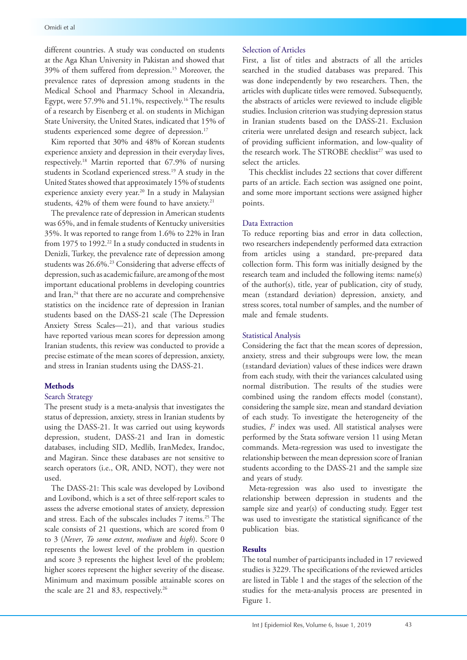different countries. A study was conducted on students at the Aga Khan University in Pakistan and showed that 39% of them suffered from depression.15 Moreover, the prevalence rates of depression among students in the Medical School and Pharmacy School in Alexandria, Egypt, were 57.9% and 51.1%, respectively.<sup>16</sup> The results of a research by Eisenberg et al. on students in Michigan State University, the United States, indicated that 15% of students experienced some degree of depression.<sup>17</sup>

Kim reported that 30% and 48% of Korean students experience anxiety and depression in their everyday lives, respectively.18 Martin reported that 67.9% of nursing students in Scotland experienced stress.19 A study in the United States showed that approximately 15% of students experience anxiety every year.<sup>20</sup> In a study in Malaysian students, 42% of them were found to have anxiety.<sup>21</sup>

The prevalence rate of depression in American students was 65%, and in female students of Kentucky universities 35%. It was reported to range from 1.6% to 22% in Iran from 1975 to 1992.<sup>22</sup> In a study conducted in students in Denizli, Turkey, the prevalence rate of depression among students was 26.6%.23 Considering that adverse effects of depression, such as academic failure, are among of the most important educational problems in developing countries and Iran,<sup>24</sup> that there are no accurate and comprehensive statistics on the incidence rate of depression in Iranian students based on the DASS-21 scale (The Depression Anxiety Stress Scales—21), and that various studies have reported various mean scores for depression among Iranian students, this review was conducted to provide a precise estimate of the mean scores of depression, anxiety, and stress in Iranian students using the DASS-21.

#### **Methods**

#### Search Strategy

The present study is a meta-analysis that investigates the status of depression, anxiety, stress in Iranian students by using the DASS-21. It was carried out using keywords depression, student, DASS-21 and Iran in domestic databases, including SID, Medlib, IranMedex, Irandoc, and Magiran. Since these databases are not sensitive to search operators (i.e., OR, AND, NOT), they were not used.

The DASS-21: This scale was developed by Lovibond and Lovibond, which is a set of three self-report scales to assess the adverse emotional states of anxiety, depression and stress. Each of the subscales includes 7 items.25 The scale consists of 21 questions, which are scored from 0 to 3 (*Never*, *To some extent*, *medium* and *high*). Score 0 represents the lowest level of the problem in question and score 3 represents the highest level of the problem; higher scores represent the higher severity of the disease. Minimum and maximum possible attainable scores on the scale are 21 and 83, respectively.<sup>26</sup>

#### Selection of Articles

First, a list of titles and abstracts of all the articles searched in the studied databases was prepared. This was done independently by two researchers. Then, the articles with duplicate titles were removed. Subsequently, the abstracts of articles were reviewed to include eligible studies. Inclusion criterion was studying depression status in Iranian students based on the DASS-21. Exclusion criteria were unrelated design and research subject, lack of providing sufficient information, and low-quality of the research work. The STROBE checklist<sup>27</sup> was used to select the articles.

This checklist includes 22 sections that cover different parts of an article. Each section was assigned one point, and some more important sections were assigned higher points.

#### Data Extraction

To reduce reporting bias and error in data collection, two researchers independently performed data extraction from articles using a standard, pre-prepared data collection form. This form was initially designed by the research team and included the following items: name(s) of the author(s), title, year of publication, city of study, mean (±standard deviation) depression, anxiety, and stress scores, total number of samples, and the number of male and female students.

#### Statistical Analysis

Considering the fact that the mean scores of depression, anxiety, stress and their subgroups were low, the mean (±standard deviation) values of these indices were drawn from each study, with their the variances calculated using normal distribution. The results of the studies were combined using the random effects model (constant), considering the sample size, mean and standard deviation of each study. To investigate the heterogeneity of the studies, *I2* index was used. All statistical analyses were performed by the Stata software version 11 using Metan commands. Meta-regression was used to investigate the relationship between the mean depression score of Iranian students according to the DASS-21 and the sample size and years of study.

Meta-regression was also used to investigate the relationship between depression in students and the sample size and year(s) of conducting study. Egger test was used to investigate the statistical significance of the publication bias.

#### **Results**

The total number of participants included in 17 reviewed studies is 3229. The specifications of the reviewed articles are listed in Table 1 and the stages of the selection of the studies for the meta-analysis process are presented in Figure 1.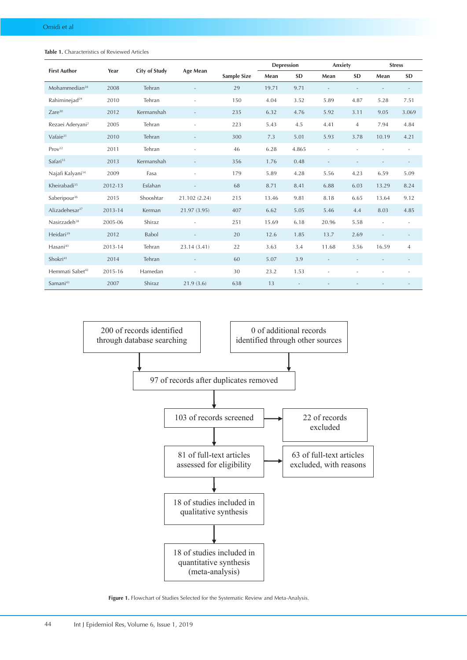| <b>First Author</b>          | Year    | City of Study | Age Mean                 |                    | Depression |           | Anxiety                  |                | <b>Stress</b>  |                   |
|------------------------------|---------|---------------|--------------------------|--------------------|------------|-----------|--------------------------|----------------|----------------|-------------------|
|                              |         |               |                          | <b>Sample Size</b> | Mean       | <b>SD</b> | Mean                     | <b>SD</b>      | Mean           | <b>SD</b>         |
| Mohammedian <sup>28</sup>    | 2008    | Tehran        |                          | 29                 | 19.71      | 9.71      | $\overline{\phantom{a}}$ |                |                |                   |
| Rahiminejad <sup>29</sup>    | 2010    | Tehran        |                          | 150                | 4.04       | 3.52      | 5.89                     | 4.87           | 5.28           | 7.51              |
| $Z$ are $30$                 | 2012    | Kermanshah    |                          | 235                | 6.32       | 4.76      | 5.92                     | 3.11           | 9.05           | 3.069             |
| Rezaei Aderyani <sup>2</sup> | 2005    | Tehran        |                          | 223                | 5.43       | 4.5       | 4.41                     | $\overline{4}$ | 7.94           | 4.84              |
| Vafaie <sup>31</sup>         | 2010    | Tehran        | $\qquad \qquad -$        | 300                | 7.3        | 5.01      | 5.93                     | 3.78           | 10.19          | 4.21              |
| Prov <sup>32</sup>           | 2011    | Tehran        | ٠                        | 46                 | 6.28       | 4.865     | $\overline{\phantom{a}}$ | ÷.             |                | $\equiv$          |
| Safari <sup>33</sup>         | 2013    | Kermanshah    |                          | 356                | 1.76       | 0.48      | $\overline{\phantom{a}}$ |                |                |                   |
| Najafi Kalyani <sup>34</sup> | 2009    | Fasa          | ÷,                       | 179                | 5.89       | 4.28      | 5.56                     | 4.23           | 6.59           | 5.09              |
| Kheirabadi <sup>35</sup>     | 2012-13 | Esfahan       |                          | 68                 | 8.71       | 8.41      | 6.88                     | 6.03           | 13.29          | 8.24              |
| Saberipour <sup>36</sup>     | 2015    | Shooshtar     | 21.102 (2.24)            | 215                | 13.46      | 9.81      | 8.18                     | 6.65           | 13.64          | 9.12              |
| Alizadehesar <sup>37</sup>   | 2013-14 | Kerman        | 21.97 (3.95)             | 407                | 6.62       | 5.05      | 5.46                     | 4.4            | 8.03           | 4.85              |
| Nasirzadeh <sup>38</sup>     | 2005-06 | Shiraz        |                          | 251                | 15.69      | 6.18      | 20.96                    | 5.58           |                |                   |
| Heidari <sup>39</sup>        | 2012    | <b>Babol</b>  |                          | 20                 | 12.6       | 1.85      | 13.7                     | 2.69           | $\blacksquare$ | $\qquad \qquad -$ |
| Hasani <sup>40</sup>         | 2013-14 | Tehran        | 23.14 (3.41)             | 22                 | 3.63       | 3.4       | 11.68                    | 3.56           | 16.59          | 4                 |
| Shokri <sup>41</sup>         | 2014    | Tehran        | $\overline{\phantom{a}}$ | 60                 | 5.07       | 3.9       | $\overline{\phantom{a}}$ |                |                |                   |
| Hemmati Sabet <sup>42</sup>  | 2015-16 | Hamedan       | ٠                        | 30                 | 23.2       | 1.53      |                          |                |                |                   |
| Samani <sup>43</sup>         | 2007    | Shiraz        | 21.9(3.6)                | 638                | 13         |           |                          |                |                |                   |

**Table 1.** Characteristics of Reviewed Articles



**Figure 1.** Flowchart of Studies Selected for the Systematic Review and Meta-Analysis.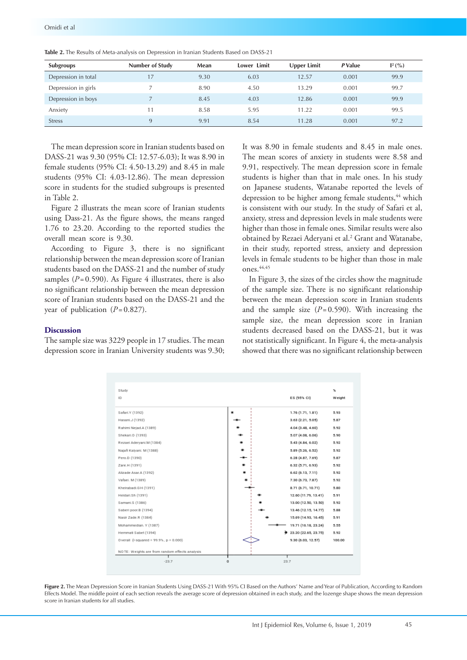| Subgroups           | <b>Number of Study</b> | Mean | Lower Limit | <b>Upper Limit</b> | P Value | $\mathbb{I}^2(\% )$ |
|---------------------|------------------------|------|-------------|--------------------|---------|---------------------|
| Depression in total |                        | 9.30 | 6.03        | 12.57              | 0.001   | 99.9                |
| Depression in girls |                        | 8.90 | 4.50        | 13.29              | 0.001   | 99.7                |
| Depression in boys  |                        | 8.45 | 4.03        | 12.86              | 0.001   | 99.9                |
| Anxiety             | 11                     | 8.58 | 5.95        | 11.22              | 0.001   | 99.5                |
| <b>Stress</b>       | a                      | 9.91 | 8.54        | 11.28              | 0.001   | 97.2                |

**Table 2.** The Results of Meta-analysis on Depression in Iranian Students Based on DASS-21

The mean depression score in Iranian students based on DASS-21 was 9.30 (95% CI: 12.57-6.03); It was 8.90 in female students (95% CI: 4.50-13.29) and 8.45 in male students (95% CI: 4.03-12.86). The mean depression score in students for the studied subgroups is presented in Table 2.

Figure 2 illustrats the mean score of Iranian students using Dass-21. As the figure shows, the means ranged 1.76 to 23.20. According to the reported studies the overall mean score is 9.30.

According to Figure 3, there is no significant relationship between the mean depression score of Iranian students based on the DASS-21 and the number of study samples  $(P=0.590)$ . As Figure 4 illustrates, there is also no significant relationship between the mean depression score of Iranian students based on the DASS-21 and the year of publication  $(P=0.827)$ .

#### **Discussion**

The sample size was 3229 people in 17 studies. The mean depression score in Iranian University students was 9.30; It was 8.90 in female students and 8.45 in male ones. The mean scores of anxiety in students were 8.58 and 9.91, respectively. The mean depression score in female students is higher than that in male ones. In his study on Japanese students, Watanabe reported the levels of depression to be higher among female students,<sup>44</sup> which is consistent with our study. In the study of Safari et al, anxiety, stress and depression levels in male students were higher than those in female ones. Similar results were also obtained by Rezaei Aderyani et al.<sup>2</sup> Grant and Watanabe, in their study, reported stress, anxiety and depression levels in female students to be higher than those in male ones.44,45

In Figure 3, the sizes of the circles show the magnitude of the sample size. There is no significant relationship between the mean depression score in Iranian students and the sample size  $(P= 0.590)$ . With increasing the sample size, the mean depression score in Iranian students decreased based on the DASS-21, but it was not statistically significant. In Figure 4, the meta-analysis showed that there was no significant relationship between



**Figure 2.** The Mean Depression Score in Iranian Students Using DASS-21 With 95% CI Based on the Authors' Name and Year of Publication, According to Random Effects Model. The middle point of each section reveals the average score of depression obtained in each study, and the lozenge shape shows the mean depression score in Iranian students for all studies.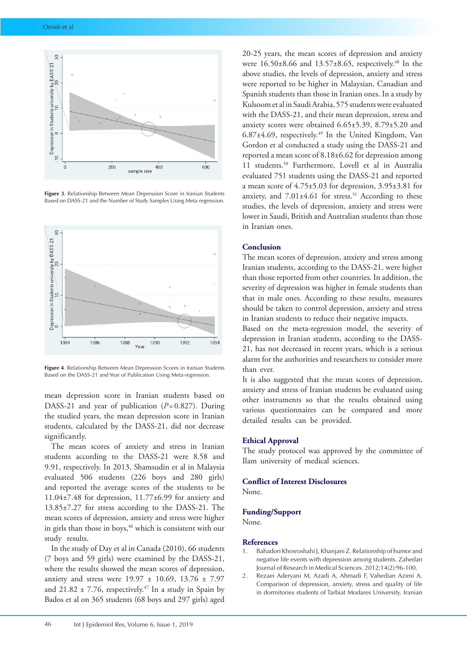

**Figure 3**. Relationship Between Mean Depression Score in Iranian Students Based on DASS-21 and the Number of Study Samples Using Meta-regression.



**Figure 4**. Relationship Between Mean Depression Scores in Iranian Students Based on the DASS-21 and Year of Publication Using Meta-regression.

mean depression score in Iranian students based on DASS-21 and year of publication (*P*=0.827). During the studied years, the mean depression score in Iranian students, calculated by the DASS-21, did not decrease significantly.

The mean scores of anxiety and stress in Iranian students according to the DASS-21 were 8.58 and 9.91, respectively. In 2013, Shamsudin et al in Malaysia evaluated 506 students (226 boys and 280 girls) and reported the average scores of the students to be 11.04±7.48 for depression, 11.77±6.99 for anxiety and 13.85±7.27 for stress according to the DASS-21. The mean scores of depression, anxiety and stress were higher in girls than those in boys,<sup>46</sup> which is consistent with our study results.

In the study of Day et al in Canada (2010), 66 students (7 boys and 59 girls) were examined by the DASS-21, where the results showed the mean scores of depression, anxiety and stress were 19.97 ± 10.69, 13.76 ± 7.97 and 21.82  $\pm$  7.76, respectively.<sup>47</sup> In a study in Spain by Bados et al on 365 students (68 boys and 297 girls) aged

20-25 years, the mean scores of depression and anxiety were  $16.50\pm8.66$  and  $13.57\pm8.65$ , respectively.<sup>48</sup> In the above studies, the levels of depression, anxiety and stress were reported to be higher in Malaysian, Canadian and Spanish students than those in Iranian ones. In a study by Kulsoom et al in Saudi Arabia, 575 students were evaluated with the DASS-21, and their mean depression, stress and anxiety scores were obtained 6.65±5.39, 8.79±5.20 and 6.87±4.69, respectively.49 In the United Kingdom, Van Gordon et al conducted a study using the DASS-21 and reported a mean score of 8.18±6.62 for depression among 11 students.50 Furthermore, Lovell et al in Australia evaluated 751 students using the DASS-21 and reported a mean score of 4.75±5.03 for depression, 3.95±3.81 for anxiety, and  $7.01\pm4.61$  for stress.<sup>51</sup> According to these studies, the levels of depression, anxiety and stress were lower in Saudi, British and Australian students than those in Iranian ones.

#### **Conclusion**

The mean scores of depression, anxiety and stress among Iranian students, according to the DASS-21, were higher than those reported from other countries. In addition, the severity of depression was higher in female students than that in male ones. According to these results, measures should be taken to control depression, anxiety and stress in Iranian students to reduce their negative impacts.

Based on the meta-regression model, the severity of depression in Iranian students, according to the DASS-21, has not decreased in recent years, which is a serious alarm for the authorities and researchers to consider more than ever.

It is also suggested that the mean scores of depression, anxiety and stress of Iranian students be evaluated using other instruments so that the results obtained using various questionnaires can be compared and more detailed results can be provided.

#### **Ethical Approval**

The study protocol was approved by the committee of Ilam university of medical sciences.

### **Conflict of Interest Disclosures**

None.

#### **Funding/Support**

None.

#### **References**

- 1. Bahadori Khosroshahi J, Khanjani Z. Relationship of humor and negative life events with depression among students. Zahedan Journal of Research in Medical Sciences. 2012;14(2):96-100.
- 2. Rezaei Aderyani M, Azadi A, Ahmadi F, Vahedian Azimi A. Comparison of depression, anxiety, stress and quality of life in dormitories students of Tarbiat Modares University. Iranian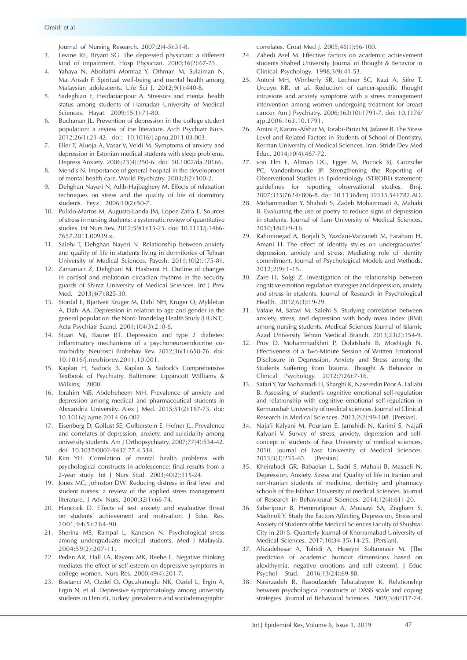Journal of Nursing Research. 2007;2(4-5):31-8.

- 3. Levine RE, Bryant SG. The depressed physician: a different kind of impairment. Hosp Physician. 2000;36(2):67-73.
- 4. Yahaya N, Abolfathi Momtaz Y, Othman M, Sulaiman N, Mat Arisah F. Spiritual well-being and mental health among Malaysian adolescents. Life Sci J. 2012;9(1):440-8.
- 5. Sadeghian E, Heidarianpour A. Stressors and mental health status among students of Hamadan University of Medical Sciences. Hayat. 2009;15(1):71-80.
- 6. Buchanan JL. Prevention of depression in the college student population: a review of the literature. Arch Psychiatr Nurs. 2012;26(1):21-42. doi: 10.1016/j.apnu.2011.03.003.
- 7. Eller T, Aluoja A, Vasar V, Veldi M. Symptoms of anxiety and depression in Estonian medical students with sleep problems. Depress Anxiety. 2006;23(4):250-6. doi: 10.1002/da.20166.
- 8. Mendis N. Importance of general hospital in the development of mental health care. World Psychiatry. 2003;2(2):100-2.
- 9. Dehghan Nayeri N, Adib-Hajbaghery M. Effects of relaxation techniques on stress and the quality of life of dormitory students. Feyz. 2006;10(2):50-7.
- 10. Pulido-Martos M, Augusto-Landa JM, Lopez-Zafra E. Sources of stress in nursing students: a systematic review of quantitative studies. Int Nurs Rev. 2012;59(1):15-25. doi: 10.1111/j.1466- 7657.2011.00939.x.
- 11. Salehi T, Dehghan Nayeri N. Relationship between anxiety and quality of life in students living in dormitories of Tehran University of Medical Sciences. Payesh. 2011;10(2):175-81.
- 12. Zamanian Z, Dehghani M, Hashemi H. Outline of changes in cortisol and melatonin circadian rhythms in the security guards of Shiraz University of Medical Sciences. Int J Prev Med. 2013;4(7):825-30.
- 13. Stordal E, Bjartveit Kruger M, Dahl NH, Kruger O, Mykletun A, Dahl AA. Depression in relation to age and gender in the general population: the Nord-Trondelag Health Study (HUNT). Acta Psychiatr Scand. 2001;104(3):210-6.
- 14. Stuart MJ, Baune BT. Depression and type 2 diabetes: inflammatory mechanisms of a psychoneuroendocrine comorbidity. Neurosci Biobehav Rev. 2012;36(1):658-76. doi: 10.1016/j.neubiorev.2011.10.001.
- 15. Kaplan H, Sadock B. Kaplan & Sadock's Comprehensive Textbook of Psychiatry. Baltimore: Lippincott Williams & Wilkins; 2000.
- 16. Ibrahim MB, Abdelreheem MH. Prevalence of anxiety and depression among medical and pharmaceutical students in Alexandria University. Alex J Med. 2015;51(2):167-73. doi: 10.1016/j.ajme.2014.06.002.
- 17. Eisenberg D, Gollust SE, Golberstein E, Hefner JL. Prevalence and correlates of depression, anxiety, and suicidality among university students. Am J Orthopsychiatry. 2007;77(4):534-42. doi: 10.1037/0002-9432.77.4.534.
- 18. Kim YH. Correlation of mental health problems with psychological constructs in adolescence: final results from a 2-year study. Int J Nurs Stud. 2003;40(2):115-24.
- 19. Jones MC, Johnston DW. Reducing distress in first level and student nurses: a review of the applied stress management literature. J Adv Nurs. 2000;32(1):66-74.
- 20. Hancock D. Effects of test anxiety and evaluative threat on students' achievement and motivation. J Educ Res. 2001;94(5):284-90.
- 21. Sherina MS, Rampal L, Kaneson N. Psychological stress among undergraduate medical students. Med J Malaysia. 2004;59(2):207-11.
- 22. Peden AR, Hall LA, Rayens MK, Beebe L. Negative thinking mediates the effect of self-esteem on depressive symptoms in college women. Nurs Res. 2000;49(4):201-7.
- 23. Bostanci M, Ozdel O, Oguzhanoglu NK, Ozdel L, Ergin A, Ergin N, et al. Depressive symptomatology among university students in Denizli, Turkey: prevalence and sociodemographic

correlates. Croat Med J. 2005;46(1):96-100.

- 24. Zahedi Asel M. Effective factors on academic achievement students Shahed University. Journal of Thought & Behavior in Clinical Psychology. 1998;3(9):41-53.
- 25. Antoni MH, Wimberly SR, Lechner SC, Kazi A, Sifre T, Urcuyo KR, et al. Reduction of cancer-specific thought intrusions and anxiety symptoms with a stress management intervention among women undergoing treatment for breast cancer. Am J Psychiatry. 2006;163(10):1791-7. doi: 10.1176/ ajp.2006.163.10.1791.
- 26. Amini P, Karimi-Afshar M, Torabi-Parizi M, Jafaree B. The Stress Level and Related Factors in Students of School of Dentistry, Kerman University of Medical Sciences, Iran. Stride Dev Med Educ. 2014;10(4):467-72.
- 27. von Elm E, Altman DG, Egger M, Pocock SJ, Gotzsche PC, Vandenbroucke JP. Strengthening the Reporting of Observational Studies in Epidemiology (STROBE) statement: guidelines for reporting observational studies. Bmj. 2007;335(7624):806-8. doi: 10.1136/bmj.39335.541782.AD.
- 28. Mohammadian Y, Shahidi S, Zadeh Mohammadi A, Mahaki B. Evaluating the use of poetry to reduce signs of depression in students. Journal of Ilam University of Medical Sciences. 2010;18(2):9-16.
- 29. Rahiminejad A, Borjali S, Yazdani-Varzaneh M, Farahani H, Amani H. The effect of identity styles on undergraduates' depression, anxiety and stress: Mediating role of identity commitment. Journal of Psychological Models and Methods. 2012;2(9):1-15.
- 30. Zare H, Solgi Z. Investigation of the relationship between cognitive emotion regulation strategies and depression, anxiety and stress in students. Journal of Research in Psychological Health. 2012;6(3):19-29.
- 31. Vafaie M, Safavi M, Salehi S. Studying correlation between anxiety, stress, and depression with body mass index (BMI) among nursing students. Medical Sciences Journal of Islamic Azad University Tehran Medical Branch. 2013;23(2):154-9.
- 32. Prov D, Mohammadkhni P, Dolatshahi B, Moshtagh N. Effectiveness of a Two-Minute Session of Written Emotional Disclosure in Depression, Anxiety and Stress among the Students Suffering from Trauma. Thought & Behavior in Clinical Psychology. 2012;7(26):7-16.
- 33. Safari Y, Yar Mohamadi H, Sharghi K, Naseredin Poor A, Fallahi B. Assessing of student's cognitive emotional self-regulation and relationship with cognitive emotional self-regulation in Kermanshah University of medical sciences. Journal of Clinical Research in Medical Sciences. 2013;2(2):99-108. [Persian].
- 34. Najafi Kalyani M, Pourjam E, Jamshidi N, Karimi S, Najafi Kalyani V. Survey of stress, anxiety, depression and selfconcept of students of Fasa University of medical sciences, 2010. Journal of Fasa University of Medical Sciences. 2013;3(3):235-40. [Persian].
- 35. Kheirabadi GR, Babaeian L, Sadri S, Mahaki B, Masaeli N. Depression, Anxiety, Stress and Quality of life in Iranian and non-Iranian students of medicine, dentistry and pharmacy schools of the Isfahan University of medical Sciences. Journal of Research in Behavioural Sciences. 2014;12(4):611-20.
- 36. Saberipour B, Hemmatipour A, Mousavi SA, Ziagham S, Madmoli Y. Study the Factors Affecting Depression, Stress and Anxiety of Students of the Medical Sciences Faculty of Shushtar City in 2015. Quarterly Journal of Khorramabad University of Medical Sciences. 2017;10(34-35):14-25. [Persian].
- 37. Alizadehesar A, Tohidi A, Hoseyni Soltannasir M. [The prediction of academic burnout dimensions based on alexithymia, negative emotions and self esteem]. J Educ Psychol Stud. 2016;13(24):69-88.
- 38. Nasirzadeh R, Rasoulzadeh Tabatabayee K. Relationship between psychological constructs of DASS scale and coping strategies. Journal of Behavioral Sciences. 2009;3(4):317-24.